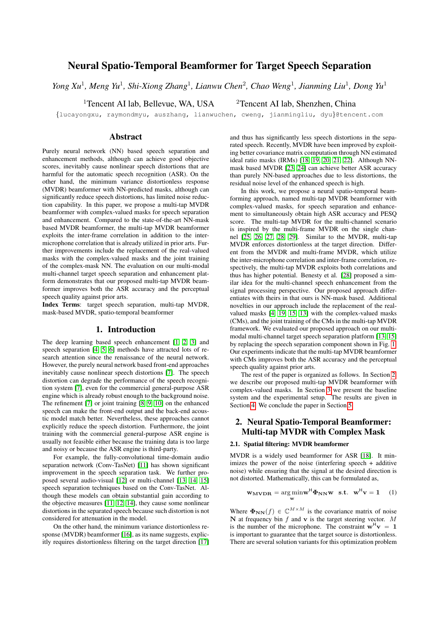# Neural Spatio-Temporal Beamformer for Target Speech Separation

*Yong Xu*<sup>1</sup>, *Meng Yu*<sup>1</sup>, *Shi-Xiong Zhang*<sup>1</sup>, *Lianwu Chen*<sup>2</sup>, *Chao Weng*<sup>1</sup>, *Jianming Liu*<sup>1</sup>, *Dong Yu*<sup>1</sup>

<sup>1</sup>Tencent AI lab, Bellevue, WA, USA  $\frac{2}$ Tencent AI lab, Shenzhen, China

{lucayongxu, raymondmyu, auszhang, lianwuchen, cweng, jianmingliu, dyu}@tencent.com

## Abstract

Purely neural network (NN) based speech separation and enhancement methods, although can achieve good objective scores, inevitably cause nonlinear speech distortions that are harmful for the automatic speech recognition (ASR). On the other hand, the minimum variance distortionless response (MVDR) beamformer with NN-predicted masks, although can significantly reduce speech distortions, has limited noise reduction capability. In this paper, we propose a multi-tap MVDR beamformer with complex-valued masks for speech separation and enhancement. Compared to the state-of-the-art NN-mask based MVDR beamformer, the multi-tap MVDR beamformer exploits the inter-frame correlation in addition to the intermicrophone correlation that is already utilized in prior arts. Further improvements include the replacement of the real-valued masks with the complex-valued masks and the joint training of the complex-mask NN. The evaluation on our multi-modal multi-channel target speech separation and enhancement platform demonstrates that our proposed multi-tap MVDR beamformer improves both the ASR accuracy and the perceptual speech quality against prior arts.

Index Terms: target speech separation, multi-tap MVDR, mask-based MVDR, spatio-temporal beamformer

#### 1. Introduction

The deep learning based speech enhancement [\[1,](#page-4-0) [2,](#page-4-1) [3\]](#page-4-2) and speech separation [\[4,](#page-4-3) [5,](#page-4-4) [6\]](#page-4-5) methods have attracted lots of research attention since the renaissance of the neural network. However, the purely neural network based front-end approaches inevitably cause nonlinear speech distortions [\[7\]](#page-4-6). The speech distortion can degrade the performance of the speech recognition system [\[7\]](#page-4-6), even for the commercial general-purpose ASR engine which is already robust enough to the background noise. The refinement [\[7\]](#page-4-6) or joint training [\[8,](#page-4-7) [9,](#page-4-8) [10\]](#page-4-9) on the enhanced speech can make the front-end output and the back-end acoustic model match better. Nevertheless, these approaches cannot explicitly reduce the speech distortion. Furthermore, the joint training with the commercial general-purpose ASR engine is usually not feasible either because the training data is too large and noisy or because the ASR engine is third-party.

For example, the fully-convolutional time-domain audio separation network (Conv-TasNet) [\[11\]](#page-4-10) has shown significant improvement in the speech separation task. We further proposed several audio-visual [\[12\]](#page-4-11) or multi-channel [\[13,](#page-4-12) [14,](#page-4-13) [15\]](#page-4-14) speech separation techniques based on the Conv-TasNet. Although these models can obtain substantial gain according to the objective measures [\[11,](#page-4-10) [12,](#page-4-11) [14\]](#page-4-13), they cause some nonlinear distortions in the separated speech because such distortion is not considered for attenuation in the model.

On the other hand, the minimum variance distortionless re-sponse (MVDR) beamformer [\[16\]](#page-4-15), as its name suggests, explicitly requires distortionless filtering on the target direction [\[17\]](#page-4-16) and thus has significantly less speech distortions in the separated speech. Recently, MVDR have been improved by exploiting better covariance matrix computation through NN estimated ideal ratio masks (IRMs) [\[18,](#page-4-17) [19,](#page-4-18) [20,](#page-4-19) [21,](#page-4-20) [22\]](#page-4-21). Although NNmask based MVDR [\[23,](#page-4-22) [24\]](#page-4-23) can achieve better ASR accuracy than purely NN-based approaches due to less distortions, the residual noise level of the enhanced speech is high.

In this work, we propose a neural spatio-temporal beamforming approach, named multi-tap MVDR beamformer with complex-valued masks, for speech separation and enhancement to simultaneously obtain high ASR accuracy and PESQ score. The multi-tap MVDR for the multi-channel scenario is inspired by the multi-frame MVDR on the single channel [\[25,](#page-4-24) [26,](#page-4-25) [27,](#page-4-26) [28,](#page-4-27) [29\]](#page-4-28). Similar to the MVDR, multi-tap MVDR enforces distortionless at the target direction. Different from the MVDR and multi-frame MVDR, which utilize the inter-microphone correlation and inter-frame correlation, respectively, the multi-tap MVDR exploits both correlations and thus has higher potential. Benesty et al. [\[28\]](#page-4-27) proposed a similar idea for the multi-channel speech enhancement from the signal processing perspective. Our proposed approach differentiates with theirs in that ours is NN-mask based. Additional novelties in our approach include the replacement of the realvalued masks [\[4,](#page-4-3) [19,](#page-4-18) [15,](#page-4-14) [13\]](#page-4-12) with the complex-valued masks (CMs), and the joint training of the CMs in the multi-tap MVDR framework. We evaluated our proposed approach on our multimodal multi-channel target speech separation platform [\[13,](#page-4-12) [15\]](#page-4-14) by replacing the speech separation component shown in Fig. [1.](#page-1-0) Our experiments indicate that the multi-tap MVDR beamformer with CMs improves both the ASR accuracy and the perceptual speech quality against prior arts.

The rest of the paper is organized as follows. In Section [2,](#page-0-0) we describe our proposed multi-tap MVDR beamformer with complex-valued masks. In Section [3](#page-2-0) we present the baseline system and the experimental setup. The results are given in Section [4.](#page-2-1) We conclude the paper in Section [5.](#page-3-0)

# <span id="page-0-0"></span>2. Neural Spatio-Temporal Beamformer: Multi-tap MVDR with Complex Mask

#### 2.1. Spatial filtering: MVDR beamformer

MVDR is a widely used beamformer for ASR [\[18\]](#page-4-17). It minimizes the power of the noise (interfering speech + additive noise) while ensuring that the signal at the desired direction is not distorted. Mathematically, this can be formulated as,

<span id="page-0-1"></span>
$$
\mathbf{w}_{\mathbf{M}}\mathbf{v}_{\mathbf{D}\mathbf{R}} = \underset{\mathbf{w}}{\arg\min} \mathbf{w}^{\mathsf{H}} \boldsymbol{\Phi}_{\mathbf{N}\mathbf{N}} \mathbf{w} \quad \text{s.t.} \quad \mathbf{w}^{\mathsf{H}} \mathbf{v} = 1 \quad (1)
$$

Where  $\Phi_{NN}(f) \in \mathbb{C}^{M \times M}$  is the covariance matrix of noise N at frequency bin  $f$  and v is the target steering vector. M is the number of the microphone. The constraint  $\mathbf{w}^H \mathbf{v} = 1$ is important to guarantee that the target source is distortionless. There are several solution variants for this optimization problem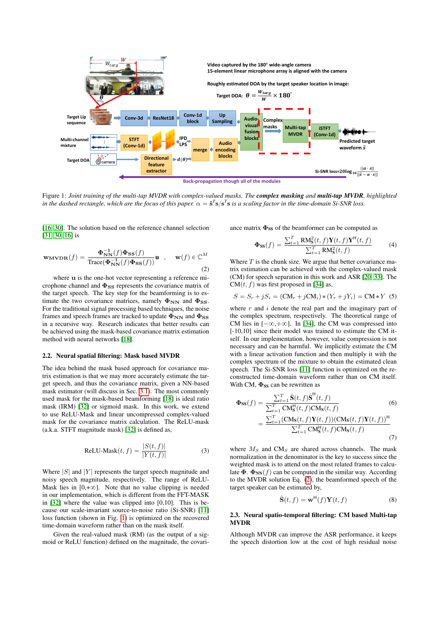<span id="page-1-0"></span>

**Back-propagation though all of the modules** 

Figure 1: *Joint training of the multi-tap MVDR with complex-valued masks. The complex masking and multi-tap MVDR, highlighted* in the dashed rectangle, which are the focus of this paper.  $\alpha = \mathbf{\hat{s}}^T\mathbf{s/s}^T\mathbf{s}$  is a scaling factor in the time-domain Si-SNR loss.

[\[16,](#page-4-15) [30\]](#page-4-29). The solution based on the reference channel selection [\[31,](#page-4-30) [30,](#page-4-29) [16\]](#page-4-15) is

<span id="page-1-1"></span>
$$
\mathbf{w}_{\mathbf{M}}\mathbf{v}_{\mathbf{D}}(\mathbf{f}) = \frac{\mathbf{\Phi}_{\mathbf{N}}^{-1}(f)\mathbf{\Phi}_{\mathbf{S}\mathbf{S}}(\mathbf{f})}{\text{Trace}(\mathbf{\Phi}_{\mathbf{N}\mathbf{N}}^{-1}(f)\mathbf{\Phi}_{\mathbf{S}\mathbf{S}}(\mathbf{f}))}\mathbf{u} , \quad \mathbf{w}(f) \in \mathbb{C}^{M}
$$
\n(2)

where u is the one-hot vector representing a reference microphone channel and  $\Phi_{SS}$  represents the covariance matrix of the target speech. The key step for the beamforming is to estimate the two covariance matrices, namely  $\Phi_{NN}$  and  $\Phi_{SS}$ . For the traditional signal processing based techniques, the noise frames and speech frames are tracked to update  $\Phi_{NN}$  and  $\Phi_{SS}$ in a recursive way. Research indicates that better results can be achieved using the mask-based covariance matrix estimation method with neural networks [\[18\]](#page-4-17).

#### 2.2. Neural spatial filtering: Mask based MVDR

The idea behind the mask based approach for covariance matrix estimation is that we may more accurately estimate the target speech, and thus the covariance matrix, given a NN-based mask estimator (will discuss in Sec. [3.1\)](#page-2-2). The most commonly used mask for the mask-based beamforming [\[18\]](#page-4-17) is ideal ratio mask (IRM) [\[32\]](#page-4-31) or sigmoid mask. In this work, we extend to use ReLU-Mask and linear uncompressed complex-valued mask for the covariance matrix calculation. The ReLU-mask (a.k.a. STFT magnitude mask) [\[32\]](#page-4-31) is defined as,

<span id="page-1-4"></span>
$$
ReLU-Mask(t, f) = \frac{|S(t, f)|}{|Y(t, f)|}
$$
(3)

Where  $|S|$  and  $|Y|$  represents the target speech magnitude and noisy speech magnitude, respectively. The range of ReLU-Mask lies in  $[0,+\infty]$ . Note that no value clipping is needed in our implementation, which is different from the FFT-MASK in [\[32\]](#page-4-31) where the value was clipped into [0,10]. This is because our scale-invariant source-to-noise ratio (Si-SNR) [\[11\]](#page-4-10) loss function (shown in Fig. [1\)](#page-1-0) is optimized on the recovered time-domain waveform rather than on the mask itself.

Given the real-valued mask (RM) (as the output of a sigmoid or ReLU function) defined on the magnitude, the covariance matrix  $\Phi_{SS}$  of the beamformer can be computed as

$$
\Phi_{SS}(f) = \frac{\sum_{t=1}^{T} \text{RM}_{S}^{2}(t, f) \mathbf{Y}(t, f) \mathbf{Y}^{\mathsf{H}}(t, f)}{\sum_{t=1}^{T} \text{RM}_{S}^{2}(t, f)}
$$
(4)

Where  $T$  is the chunk size. We argue that better covariance matrix estimation can be achieved with the complex-valued mask (CM) for speech separation in this work and ASR [\[20,](#page-4-19) [33\]](#page-4-32). The  $CM(t, f)$  was first proposed in [\[34\]](#page-4-33) as,

<span id="page-1-2"></span>
$$
S = S_r + jS_i = (CM_r + jCM_i) * (Y_r + jY_i) = CM * Y
$$
 (5)

where  $r$  and  $i$  denote the real part and the imaginary part of the complex spectrum, respectively. The theoretical range of CM lies in  $[-\infty, +\infty]$ . In [\[34\]](#page-4-33), the CM was compressed into [-10,10] since their model was trained to estimate the CM itself. In our implementation, however, value compression is not necessary and can be harmful. We implicitly estimate the CM with a linear activation function and then multiply it with the complex spectrum of the mixture to obtain the estimated clean speech. The Si-SNR loss [\[11\]](#page-4-10) function is optimized on the reconstructed time-domain waveform rather than on CM itself. With CM,  $\Phi_{SS}$  can be rewritten as

$$
\Phi_{SS}(f) = \frac{\sum_{t=1}^{T} \hat{\mathbf{S}}(t, f) \hat{\mathbf{S}}^{H}(t, f)}{\sum_{t=1}^{T} \mathbf{C} \mathbf{M}_{\mathbf{S}}^{H}(t, f) \mathbf{C} \mathbf{M}_{\mathbf{S}}(t, f)} \qquad (6)
$$
\n
$$
= \frac{\sum_{t=1}^{T} (\mathbf{C} \mathbf{M}_{\mathbf{S}}(t, f) \mathbf{Y}(t, f)) (\mathbf{C} \mathbf{M}_{\mathbf{S}}(t, f) \mathbf{Y}(t, f))^{H}}{\sum_{t=1}^{T} \mathbf{C} \mathbf{M}_{\mathbf{S}}^{H}(t, f) \mathbf{C} \mathbf{M}_{\mathbf{S}}(t, f)} \qquad (7)
$$

where  $M_S$  and  $CM_S$  are shared across channels. The mask normalization in the denominator is the key to success since the weighted mask is to attend on the most related frames to calculate  $\Phi$ .  $\Phi_{NN}(f)$  can be computed in the similar way. According to the MVDR solution Eq. [\(2\)](#page-1-1), the beamformed speech of the target speaker can be estimated by,

<span id="page-1-3"></span>
$$
\hat{\mathbf{S}}(t,f) = \mathbf{w}^{\mathsf{H}}(f)\mathbf{Y}(t,f) \tag{8}
$$

#### 2.3. Neural spatio-temporal filtering: CM based Multi-tap MVDR

Although MVDR can improve the ASR performance, it keeps the speech distortion low at the cost of high residual noise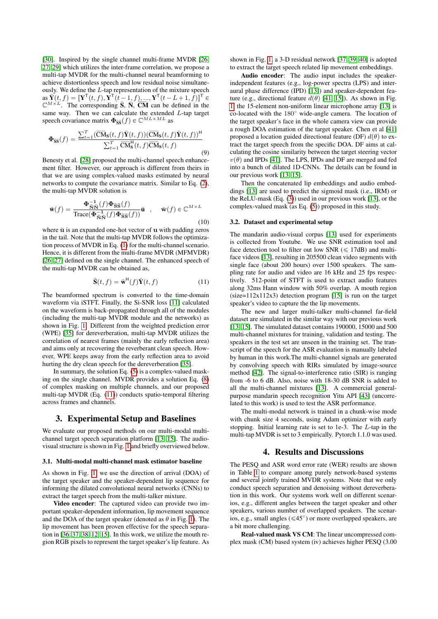[\[30\]](#page-4-29). Inspired by the single channel multi-frame MVDR [\[26,](#page-4-25) [27,](#page-4-26) [29\]](#page-4-28) which utilizes the inter-frame correlation, we propose a multi-tap MVDR for the multi-channel neural beamforming to achieve distortionless speech and low residual noise simultaneously. We define the L-tap representation of the mixture speech as  $\bar{\mathbf{Y}}(t, f) = [\mathbf{Y}^{\mathsf{T}}(t, f), \hat{\mathbf{Y}}^{\mathsf{T}}(\hat{t} - 1, f), ..., \mathbf{Y}^{\mathsf{T}}(t - L + 1, \hat{f})]^{\mathsf{T}} \in$  $\mathbb{C}^{M \times L}$ . The corresponding  $\overline{S}$ ,  $\overline{N}$ ,  $\overline{CM}$  can be defined in the same way. Then we can calculate the extended  $L$ -tap target speech covariance matrix  $\mathbf{\Phi}_{\bar{\mathbf{S}}\bar{\mathbf{S}}}(f) \in \mathbb{C}^{ML \times ML}$  as

$$
\Phi_{\overline{\mathbf{S}}\overline{\mathbf{S}}}(f) = \frac{\sum_{t=1}^{T} (\overline{\mathbf{C}}\overline{\mathbf{M}}_{\mathbf{S}}(t,f) \overline{\mathbf{Y}}(t,f)) (\overline{\mathbf{C}}\overline{\mathbf{M}}_{\mathbf{S}}(t,f) \overline{\mathbf{Y}}(t,f))^{\mathsf{H}}}{\sum_{t=1}^{T} \overline{\mathbf{C}}\overline{\mathbf{M}}_{\mathbf{S}}^{\mathsf{H}}(t,f) \overline{\mathbf{C}}\overline{\mathbf{M}}_{\mathbf{S}}(t,f)}
$$
\n(9)

Benesty et al. [\[28\]](#page-4-27) proposed the multi-channel speech enhancement filter. However, our approach is different from theirs in that we are using complex-valued masks estimated by neural networks to compute the covariance matrix. Similar to Eq. [\(2\)](#page-1-1), the multi-tap MVDR solution is

$$
\bar{\mathbf{w}}(f) = \frac{\Phi_{\bar{\mathbf{N}}\bar{\mathbf{N}}}^{-1}(f)\Phi_{\bar{\mathbf{S}}\bar{\mathbf{S}}}(f)}{\text{Trace}(\Phi_{\bar{\mathbf{N}}\bar{\mathbf{N}}}^{-1}(f)\Phi_{\bar{\mathbf{S}}\bar{\mathbf{S}}}(f))} \bar{\mathbf{u}} \quad , \quad \bar{\mathbf{w}}(f) \in \mathbb{C}^{M \times L}
$$
\n(10)

where  $\bar{u}$  is an expanded one-hot vector of  $u$  with padding zeros in the tail. Note that the multi-tap MVDR follows the optimization process of MVDR in Eq. [\(1\)](#page-0-1) for the multi-channel scenario. Hence, it is different from the multi-frame MVDR (MFMVDR) [\[26,](#page-4-25) [27\]](#page-4-26) defined on the single channel. The enhanced speech of the multi-tap MVDR can be obtained as,

<span id="page-2-3"></span>
$$
\hat{\mathbf{S}}(t,f) = \bar{\mathbf{w}}^{\mathsf{H}}(f)\bar{\mathbf{Y}}(t,f)
$$
\n(11)

The beamformed spectrum is converted to the time-domain waveform via iSTFT. Finally, the Si-SNR loss [\[11\]](#page-4-10) calculated on the waveform is back-propagated through all of the modules (including the multi-tap MVDR module and the networks) as shown in Fig. [1.](#page-1-0) Different from the weighted prediction error (WPE) [\[35\]](#page-4-34) for dereverberation, multi-tap MVDR utilizes the correlation of nearest frames (mainly the early reflection area) and aims only at recovering the reverberant clean speech. However, WPE keeps away from the early reflection area to avoid hurting the dry clean speech for the dereverberation [\[35\]](#page-4-34).

In summary, the solution Eq. [\(5\)](#page-1-2) is a complex-valued masking on the single channel. MVDR provides a solution Eq. [\(8\)](#page-1-3) of complex masking on multiple channels, and our proposed multi-tap MVDR (Eq. [\(11\)](#page-2-3)) conducts spatio-temporal filtering across frames and channels.

### <span id="page-2-0"></span>3. Experimental Setup and Baselines

We evaluate our proposed methods on our multi-modal multichannel target speech separation platform [\[13,](#page-4-12) [15\]](#page-4-14). The audiovisual structure is shown in Fig. [1](#page-1-0) and briefly overviewed below.

#### <span id="page-2-2"></span>3.1. Multi-modal multi-channel mask estimator baseline

As shown in Fig. [1,](#page-1-0) we use the direction of arrival (DOA) of the target speaker and the speaker-dependent lip sequence for informing the dilated convolutional neural networks (CNNs) to extract the target speech from the multi-talker mixture.

Video encoder: The captured video can provide two important speaker-dependent information, lip movement sequence and the DOA of the target speaker (denoted as  $\theta$  in Fig. [1\)](#page-1-0). The lip movement has been proven effective for the speech separation in [\[36,](#page-4-35) [37,](#page-4-36) [38,](#page-4-37) [12,](#page-4-11) [15\]](#page-4-14). In this work, we utilize the mouth region RGB pixels to represent the target speaker's lip feature. As

shown in Fig. [1,](#page-1-0) a 3-D residual network [\[37,](#page-4-36) [39,](#page-4-38) [40\]](#page-4-39) is adopted to extract the target speech related lip movement embeddings.

Audio encoder: The audio input includes the speakerindependent features (e.g., log-power spectra (LPS) and interaural phase difference (IPD) [\[13\]](#page-4-12)) and speaker-dependent feature (e.g., directional feature  $d(\theta)$  [\[41,](#page-4-40) [15\]](#page-4-14)). As shown in Fig. [1,](#page-1-0) the 15-element non-uniform linear microphone array [\[13\]](#page-4-12) is co-located with the 180° wide-angle camera. The location of the target speaker's face in the whole camera view can provide a rough DOA estimation of the target speaker. Chen et al [\[41\]](#page-4-40) proposed a location guided directional feature (DF)  $d(\theta)$  to extract the target speech from the specific DOA. DF aims at calculating the cosine similarity between the target steering vector  $v(\theta)$  and IPDs [\[41\]](#page-4-40). The LPS, IPDs and DF are merged and fed into a bunch of dilated 1D-CNNs. The details can be found in our previous work [\[13,](#page-4-12) [15\]](#page-4-14).

Then the concatenated lip embeddings and audio embeddings [\[13\]](#page-4-12) are used to predict the sigmoid mask (i.e., IRM) or the ReLU-mask (Eq. [\(3\)](#page-1-4)) used in our previous work [\[13\]](#page-4-12), or the complex-valued mask (as Eq. [\(5\)](#page-1-2)) proposed in this study.

#### 3.2. Dataset and experimental setup

The mandarin audio-visual corpus [\[13\]](#page-4-12) used for experiments is collected from Youtube. We use SNR estimation tool and face detection tool to filter out low SNR  $(\leq 17d)$  and multiface videos [\[13\]](#page-4-12), resulting in 205500 clean video segments with single face (about 200 hours) over 1500 speakers. The sampling rate for audio and video are 16 kHz and 25 fps respectively. 512-point of STFT is used to extract audio features along 32ms Hann window with 50% overlap. A mouth region  $(size=112x112x3)$  detection program [\[15\]](#page-4-14) is run on the target speaker's video to capture the the lip movements.

The new and larger multi-talker multi-channel far-field dataset are simulated in the similar way with our previous work [\[13,](#page-4-12) [15\]](#page-4-14). The simulated dataset contains 190000, 15000 and 500 multi-channel mixtures for training, validation and testing. The speakers in the test set are unseen in the training set. The transcript of the speech for the ASR evaluation is manually labeled by human in this work.The multi-channel signals are generated by convolving speech with RIRs simulated by image-source method [\[42\]](#page-4-41). The signal-to-interference ratio (SIR) is ranging from -6 to 6 dB. Also, noise with 18-30 dB SNR is added to all the multi-channel mixtures [\[13\]](#page-4-12). A commercial generalpurpose mandarin speech recognition Yitu API [\[43\]](#page-4-42) (uncorrelated to this work) is used to test the ASR performance.

The multi-modal network is trained in a chunk-wise mode with chunk size 4 seconds, using Adam optimizer with early stopping. Initial learning rate is set to 1e-3. The L-tap in the multi-tap MVDR is set to 3 empirically. Pytorch 1.1.0 was used.

## 4. Results and Discussions

<span id="page-2-1"></span>The PESQ and ASR word error rate (WER) results are shown in Table [1](#page-3-1) to compare among purely network-based systems and several jointly trained MVDR systems. Note that we only conduct speech separation and denoising without dereverberation in this work. Our systems work well on different scenarios, e.g., different angles between the target speaker and other speakers, various number of overlapped speakers. The scenarios, e.g., small angles  $(\leq 45^{\circ})$  or more overlapped speakers, are a bit more challenging.

Real-valued mask VS CM: The linear uncompressed complex mask (CM) based system (iv) achieves higher PESQ (3.00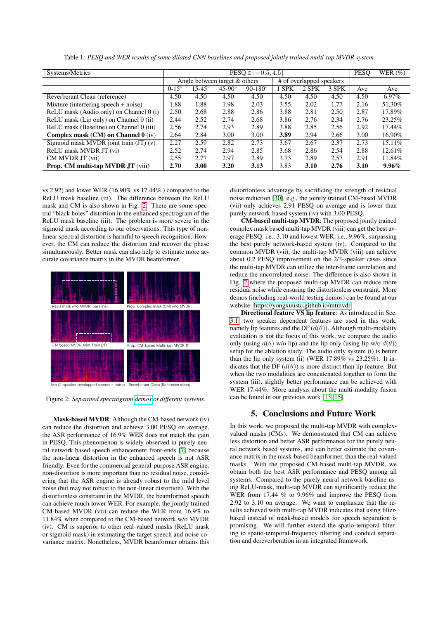<span id="page-3-1"></span>

| Systems/Metrics                          | $PESQ \in [-0.5, 4.5]$        |               |                   |                    |                          |       |       | <b>PESO</b> | WER $(\%)$ |
|------------------------------------------|-------------------------------|---------------|-------------------|--------------------|--------------------------|-------|-------|-------------|------------|
|                                          | Angle between target & others |               |                   |                    | # of overlapped speakers |       |       |             |            |
|                                          | $0-15^\circ$                  | $15-45^\circ$ | $45 - 90^{\circ}$ | $90 - 180^{\circ}$ | <b>SPK</b>               | 2 SPK | 3 SPK | Ave         | Ave        |
| Reverberant Clean (reference)            | 4.50                          | 4.50          | 4.50              | 4.50               | 4.50                     | 4.50  | 4.50  | 4.50        | 6.97%      |
| Mixture (interfering speech + noise)     | 1.88                          | 1.88          | 1.98              | 2.03               | 3.55                     | 2.02  | 1.77  | 2.16        | 51.30%     |
| ReLU mask (Audio only) on Channel 0 (i)  | 2.50                          | 2.68          | 2.88              | 2.86               | 3.88                     | 2.81  | 2.50  | 2.87        | 17.89%     |
| ReLU mask (Lip only) on Channel 0 (ii)   | 2.44                          | 2.52          | 2.74              | 2.68               | 3.86                     | 2.76  | 2.34  | 2.76        | 23.25%     |
| ReLU mask (Baseline) on Channel 0 (iii)  | 2.56                          | 2.74          | 2.93              | 2.89               | 3.88                     | 2.85  | 2.56  | 2.92        | 17.44%     |
| Complex mask $(CM)$ on Channel $0$ (iv)  | 2.64                          | 2.84          | 3.00              | 3.00               | 3.89                     | 2.94  | 2.66  | 3.00        | 16.90%     |
| Sigmoid mask MVDR joint train (JT) (v)   | 2.27                          | 2.59          | 2.82              | 2.73               | 3.67                     | 2.67  | 2.37  | 2.73        | 15.11%     |
| ReLU mask MVDR JT (vi)                   | 2.52                          | 2.74          | 2.94              | 2.85               | 3.68                     | 2.86  | 2.54  | 2.88        | 12.61%     |
| CM MVDR JT (vii)                         | 2.55                          | 2.77          | 2.97              | 2.89               | 3.73                     | 2.89  | 2.57  | 2.91        | 11.84%     |
| <b>Prop. CM multi-tap MVDR JT (viii)</b> | 2.70                          | 3.00          | 3.20              | 3.13               | 3.83                     | 3.10  | 2.76  | 3.10        | $9.96\%$   |

Table 1: *PESQ and WER results of some dilated CNN baselines and proposed jointly trained multi-tap MVDR system.*

vs 2.92) and lower WER (16.90% vs 17.44% ) compared to the ReLU mask baseline (iii). The difference between the ReLU mask and CM is also shown in Fig. [2.](#page-3-2) There are some spectral "black holes" distortion in the enhanced spectrogram of the ReLU mask baseline (iii). The problem is more severe in the sigmoid mask according to our observations. This type of nonlinear spectral distortion is harmful to speech recognition. However, the CM can reduce the distortion and recover the phase simultaneously. Better mask can also help to estimate more accurate covariance matrix in the MVDR beamformer.

<span id="page-3-2"></span>

Mix (2-speaker overlapped speech + noise) Reverberant Clean (Reference clean)

Figure 2: *Separated spectrogram [demos](https://yongxuustc.github.io/mtmvdr) of different systems.*

Mask-based MVDR: Although the CM-based network (iv) can reduce the distortion and achieve 3.00 PESQ on average, the ASR performance of 16.9% WER does not match the gain in PESQ. This phenomenon is widely observed in purely neural network based speech enhancement front-ends [\[7\]](#page-4-6) because the non-linear distortion in the enhanced speech is not ASR friendly. Even for the commercial general-purpose ASR engine, non-distortion is more important than no residual noise, considering that the ASR engine is already robust to the mild level noise (but may not robust to the non-linear distortion). With the distortionless constraint in the MVDR, the beamformed speech can achieve much lower WER. For example, the jointly trained CM-based MVDR (vii) can reduce the WER from 16.9% to 11.84% when compared to the CM-based network w/o MVDR (iv). CM is superior to other real-valued masks (ReLU mask or sigmoid mask) in estimating the target speech and noise covariance matrix. Nonetheless, MVDR beamformer obtains this distortionless advantage by sacrificing the strength of residual noise reduction [\[30\]](#page-4-29), e.g., the jointly trained CM-based MVDR (vii) only achieves 2.91 PESQ on average and is lower than purely network-based system (iv) with 3.00 PESQ.

CM-based multi-tap MVDR: The proposed jointly trained complex mask based multi-tap MVDR (viii) can get the best average PESQ, i.e., 3.10 and lowest WER, i.e., 9.96%, surpassing the best purely network-based system (iv). Compared to the common MVDR (vii), the multi-tap MVDR (viii) can achieve about 0.2 PESQ improvement on the 2/3-speaker cases since the multi-tap MVDR can utilize the inter-frame correlation and reduce the uncorrelated noise. The difference is also shown in Fig. [2](#page-3-2) where the proposed multi-tap MVDR can reduce more residual noise while ensuring the distortionless constraint. More demos (including real-world testing demos) can be found at our website: [https://yongxuustc.github.io/mtmvdr.](https://yongxuustc.github.io/mtmvdr)

Directional feature VS lip feature: As introduced in Sec. [3.1,](#page-2-2) two speaker dependent features are used in this work, namely lip features and the DF  $(d(\theta))$ . Although multi-modality evaluation is not the focus of this work, we compare the audio only (using  $d(\theta)$  w/o lip) and the lip only (using lip w/o  $d(\theta)$ ) setup for the ablation study. The audio only system (i) is better than the lip only system (ii) (WER  $17.89\%$  vs  $23.25\%$ ). It indicates that the DF  $(d(\theta))$  is more distinct than lip feature. But when the two modalities are concatenated together to form the system (iii), slightly better performance can be achieved with WER 17.44%. More analysis about the multi-modality fusion can be found in our previous work [\[13,](#page-4-12) [15\]](#page-4-14).

## 5. Conclusions and Future Work

<span id="page-3-0"></span>In this work, we proposed the multi-tap MVDR with complexvalued masks (CMs). We demonstrated that CM can achieve less distortion and better ASR performance for the purely neural network based systems, and can better estimate the covariance matrix in the mask-based beamformer, than the real-valued masks. With the proposed CM based multi-tap MVDR, we obtain both the best ASR performance and PESQ among all systems. Compared to the purely neural network baseline using ReLU-mask, multi-tap MVDR can significantly reduce the WER from 17.44 % to 9.96% and improve the PESQ from 2.92 to 3.10 on average. We want to emphasize that the results achieved with multi-tap MVDR indicates that using filterbased instead of mask-based models for speech separation is promising. We will further extend the spatio-temporal filtering to spatio-temporal-frequency filtering and conduct separation and dereverberation in an integrated framework.